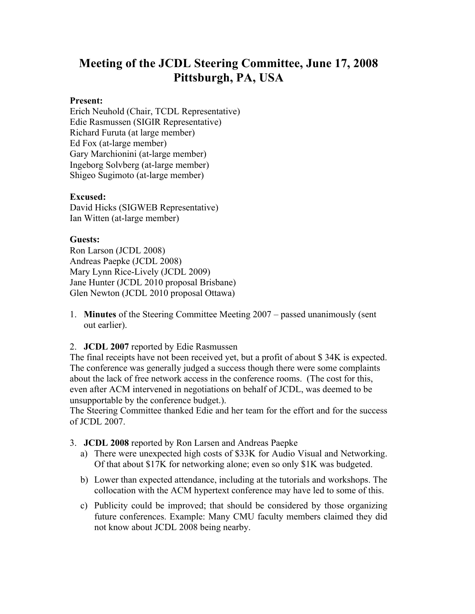# **Meeting of the JCDL Steering Committee, June 17, 2008 Pittsburgh, PA, USA**

#### **Present:**

Erich Neuhold (Chair, TCDL Representative) Edie Rasmussen (SIGIR Representative) Richard Furuta (at large member) Ed Fox (at-large member) Gary Marchionini (at-large member) Ingeborg Solvberg (at-large member) Shigeo Sugimoto (at-large member)

#### **Excused:**

David Hicks (SIGWEB Representative) Ian Witten (at-large member)

#### **Guests:**

Ron Larson (JCDL 2008) Andreas Paepke (JCDL 2008) Mary Lynn Rice-Lively (JCDL 2009) Jane Hunter (JCDL 2010 proposal Brisbane) Glen Newton (JCDL 2010 proposal Ottawa)

1. **Minutes** of the Steering Committee Meeting 2007 – passed unanimously (sent out earlier).

2. **JCDL 2007** reported by Edie Rasmussen

The final receipts have not been received yet, but a profit of about \$ 34K is expected. The conference was generally judged a success though there were some complaints about the lack of free network access in the conference rooms. (The cost for this, even after ACM intervened in negotiations on behalf of JCDL, was deemed to be unsupportable by the conference budget.).

The Steering Committee thanked Edie and her team for the effort and for the success of JCDL 2007.

- 3. **JCDL 2008** reported by Ron Larsen and Andreas Paepke
	- a) There were unexpected high costs of \$33K for Audio Visual and Networking. Of that about \$17K for networking alone; even so only \$1K was budgeted.
	- b) Lower than expected attendance, including at the tutorials and workshops. The collocation with the ACM hypertext conference may have led to some of this.
	- c) Publicity could be improved; that should be considered by those organizing future conferences. Example: Many CMU faculty members claimed they did not know about JCDL 2008 being nearby.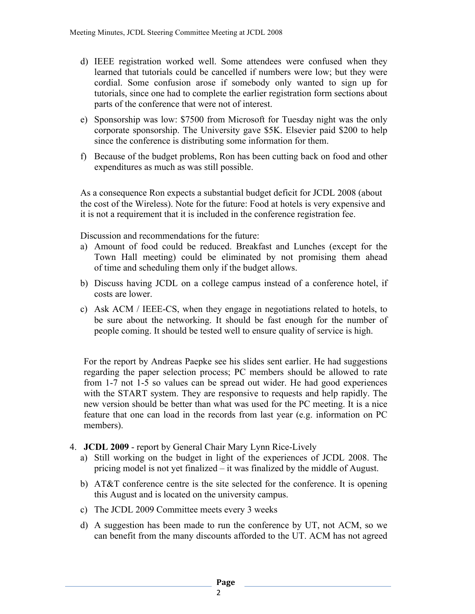- d) IEEE registration worked well. Some attendees were confused when they learned that tutorials could be cancelled if numbers were low; but they were cordial. Some confusion arose if somebody only wanted to sign up for tutorials, since one had to complete the earlier registration form sections about parts of the conference that were not of interest.
- e) Sponsorship was low: \$7500 from Microsoft for Tuesday night was the only corporate sponsorship. The University gave \$5K. Elsevier paid \$200 to help since the conference is distributing some information for them.
- f) Because of the budget problems, Ron has been cutting back on food and other expenditures as much as was still possible.

As a consequence Ron expects a substantial budget deficit for JCDL 2008 (about the cost of the Wireless). Note for the future: Food at hotels is very expensive and it is not a requirement that it is included in the conference registration fee.

Discussion and recommendations for the future:

- a) Amount of food could be reduced. Breakfast and Lunches (except for the Town Hall meeting) could be eliminated by not promising them ahead of time and scheduling them only if the budget allows.
- b) Discuss having JCDL on a college campus instead of a conference hotel, if costs are lower.
- c) Ask ACM / IEEE-CS, when they engage in negotiations related to hotels, to be sure about the networking. It should be fast enough for the number of people coming. It should be tested well to ensure quality of service is high.

For the report by Andreas Paepke see his slides sent earlier. He had suggestions regarding the paper selection process; PC members should be allowed to rate from 1-7 not 1-5 so values can be spread out wider. He had good experiences with the START system. They are responsive to requests and help rapidly. The new version should be better than what was used for the PC meeting. It is a nice feature that one can load in the records from last year (e.g. information on PC members).

- 4. **JCDL 2009** report by General Chair Mary Lynn Rice-Lively
	- a) Still working on the budget in light of the experiences of JCDL 2008. The pricing model is not yet finalized – it was finalized by the middle of August.
	- b) AT&T conference centre is the site selected for the conference. It is opening this August and is located on the university campus.
	- c) The JCDL 2009 Committee meets every 3 weeks
	- d) A suggestion has been made to run the conference by UT, not ACM, so we can benefit from the many discounts afforded to the UT. ACM has not agreed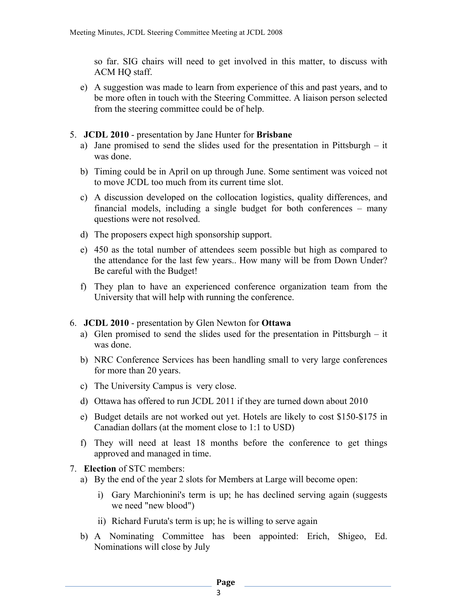so far. SIG chairs will need to get involved in this matter, to discuss with ACM HQ staff.

- e) A suggestion was made to learn from experience of this and past years, and to be more often in touch with the Steering Committee. A liaison person selected from the steering committee could be of help.
- 5. **JCDL 2010** presentation by Jane Hunter for **Brisbane**
	- a) Jane promised to send the slides used for the presentation in Pittsburgh it was done.
	- b) Timing could be in April on up through June. Some sentiment was voiced not to move JCDL too much from its current time slot.
	- c) A discussion developed on the collocation logistics, quality differences, and financial models, including a single budget for both conferences – many questions were not resolved.
	- d) The proposers expect high sponsorship support.
	- e) 450 as the total number of attendees seem possible but high as compared to the attendance for the last few years.. How many will be from Down Under? Be careful with the Budget!
	- f) They plan to have an experienced conference organization team from the University that will help with running the conference.
- 6. **JCDL 2010** presentation by Glen Newton for **Ottawa**
	- a) Glen promised to send the slides used for the presentation in Pittsburgh it was done.
	- b) NRC Conference Services has been handling small to very large conferences for more than 20 years.
	- c) The University Campus is very close.
	- d) Ottawa has offered to run JCDL 2011 if they are turned down about 2010
	- e) Budget details are not worked out yet. Hotels are likely to cost \$150-\$175 in Canadian dollars (at the moment close to 1:1 to USD)
	- f) They will need at least 18 months before the conference to get things approved and managed in time.
- 7. **Election** of STC members:
	- a) By the end of the year 2 slots for Members at Large will become open:
		- i) Gary Marchionini's term is up; he has declined serving again (suggests we need "new blood")
		- ii) Richard Furuta's term is up; he is willing to serve again
	- b) A Nominating Committee has been appointed: Erich, Shigeo, Ed. Nominations will close by July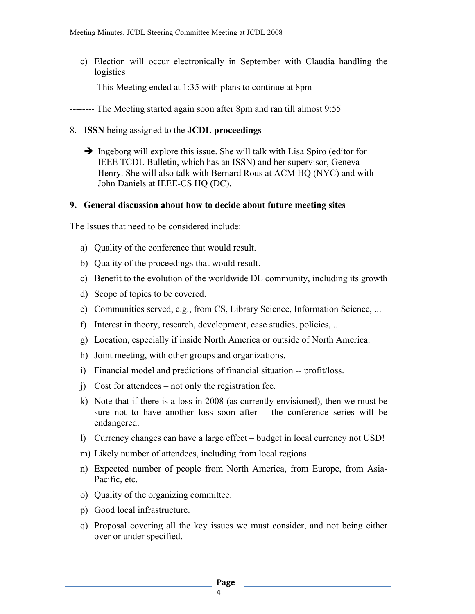- c) Election will occur electronically in September with Claudia handling the logistics
- -------- This Meeting ended at 1:35 with plans to continue at 8pm
- -------- The Meeting started again soon after 8pm and ran till almost 9:55
- 8. **ISSN** being assigned to the **JCDL proceedings**
	- $\rightarrow$  Ingeborg will explore this issue. She will talk with Lisa Spiro (editor for IEEE TCDL Bulletin, which has an ISSN) and her supervisor, Geneva Henry. She will also talk with Bernard Rous at ACM HQ (NYC) and with John Daniels at IEEE-CS HQ (DC).

## **9. General discussion about how to decide about future meeting sites**

The Issues that need to be considered include:

- a) Quality of the conference that would result.
- b) Quality of the proceedings that would result.
- c) Benefit to the evolution of the worldwide DL community, including its growth
- d) Scope of topics to be covered.
- e) Communities served, e.g., from CS, Library Science, Information Science, ...
- f) Interest in theory, research, development, case studies, policies, ...
- g) Location, especially if inside North America or outside of North America.
- h) Joint meeting, with other groups and organizations.
- i) Financial model and predictions of financial situation -- profit/loss.
- j) Cost for attendees not only the registration fee.
- k) Note that if there is a loss in 2008 (as currently envisioned), then we must be sure not to have another loss soon after – the conference series will be endangered.
- l) Currency changes can have a large effect budget in local currency not USD!
- m) Likely number of attendees, including from local regions.
- n) Expected number of people from North America, from Europe, from Asia-Pacific, etc.
- o) Quality of the organizing committee.
- p) Good local infrastructure.
- q) Proposal covering all the key issues we must consider, and not being either over or under specified.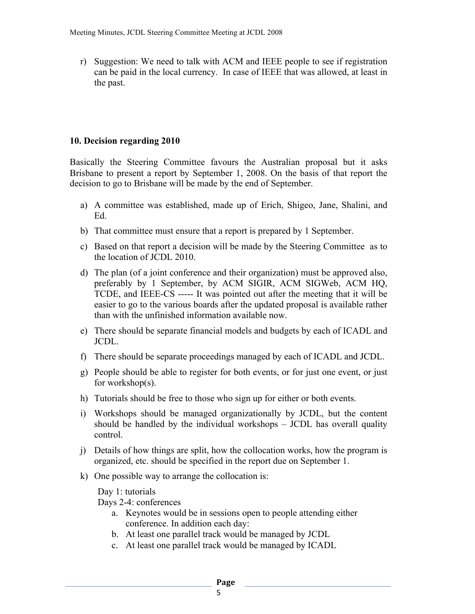r) Suggestion: We need to talk with ACM and IEEE people to see if registration can be paid in the local currency. In case of IEEE that was allowed, at least in the past.

## **10. Decision regarding 2010**

Basically the Steering Committee favours the Australian proposal but it asks Brisbane to present a report by September 1, 2008. On the basis of that report the decision to go to Brisbane will be made by the end of September.

- a) A committee was established, made up of Erich, Shigeo, Jane, Shalini, and Ed.
- b) That committee must ensure that a report is prepared by 1 September.
- c) Based on that report a decision will be made by the Steering Committee as to the location of JCDL 2010.
- d) The plan (of a joint conference and their organization) must be approved also, preferably by 1 September, by ACM SIGIR, ACM SIGWeb, ACM HQ, TCDE, and IEEE-CS ----- It was pointed out after the meeting that it will be easier to go to the various boards after the updated proposal is available rather than with the unfinished information available now.
- e) There should be separate financial models and budgets by each of ICADL and JCDL.
- f) There should be separate proceedings managed by each of ICADL and JCDL.
- g) People should be able to register for both events, or for just one event, or just for workshop(s).
- h) Tutorials should be free to those who sign up for either or both events.
- i) Workshops should be managed organizationally by JCDL, but the content should be handled by the individual workshops – JCDL has overall quality control.
- j) Details of how things are split, how the collocation works, how the program is organized, etc. should be specified in the report due on September 1.
- k) One possible way to arrange the collocation is:

Day 1: tutorials

Days 2-4: conferences

- a. Keynotes would be in sessions open to people attending either conference. In addition each day:
- b. At least one parallel track would be managed by JCDL
- c. At least one parallel track would be managed by ICADL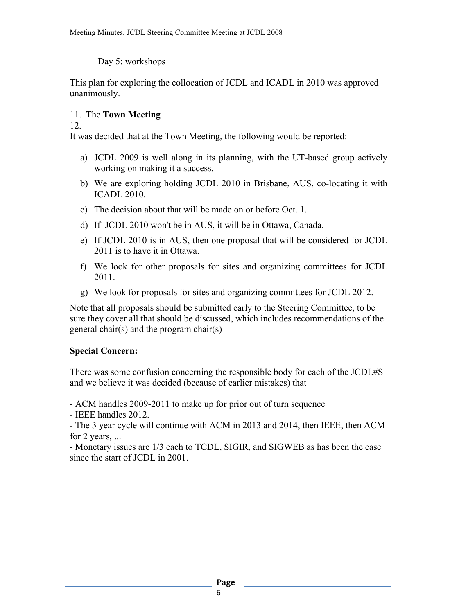Day 5: workshops

This plan for exploring the collocation of JCDL and ICADL in 2010 was approved unanimously.

## 11. The **Town Meeting**

12.

It was decided that at the Town Meeting, the following would be reported:

- a) JCDL 2009 is well along in its planning, with the UT-based group actively working on making it a success.
- b) We are exploring holding JCDL 2010 in Brisbane, AUS, co-locating it with ICADL 2010.
- c) The decision about that will be made on or before Oct. 1.
- d) If JCDL 2010 won't be in AUS, it will be in Ottawa, Canada.
- e) If JCDL 2010 is in AUS, then one proposal that will be considered for JCDL 2011 is to have it in Ottawa.
- f) We look for other proposals for sites and organizing committees for JCDL 2011.
- g) We look for proposals for sites and organizing committees for JCDL 2012.

Note that all proposals should be submitted early to the Steering Committee, to be sure they cover all that should be discussed, which includes recommendations of the general chair(s) and the program chair(s)

## **Special Concern:**

There was some confusion concerning the responsible body for each of the JCDL#S and we believe it was decided (because of earlier mistakes) that

- ACM handles 2009-2011 to make up for prior out of turn sequence

- IEEE handles 2012.

- The 3 year cycle will continue with ACM in 2013 and 2014, then IEEE, then ACM for 2 years, ...

- Monetary issues are 1/3 each to TCDL, SIGIR, and SIGWEB as has been the case since the start of JCDL in 2001.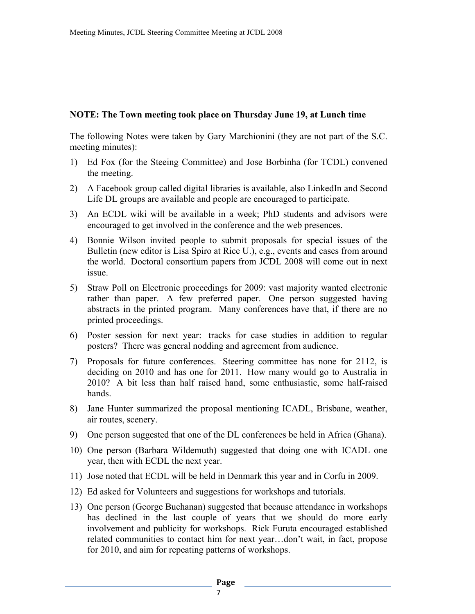#### **NOTE: The Town meeting took place on Thursday June 19, at Lunch time**

The following Notes were taken by Gary Marchionini (they are not part of the S.C. meeting minutes):

- 1) Ed Fox (for the Steeing Committee) and Jose Borbinha (for TCDL) convened the meeting.
- 2) A Facebook group called digital libraries is available, also LinkedIn and Second Life DL groups are available and people are encouraged to participate.
- 3) An ECDL wiki will be available in a week; PhD students and advisors were encouraged to get involved in the conference and the web presences.
- 4) Bonnie Wilson invited people to submit proposals for special issues of the Bulletin (new editor is Lisa Spiro at Rice U.), e.g., events and cases from around the world. Doctoral consortium papers from JCDL 2008 will come out in next issue.
- 5) Straw Poll on Electronic proceedings for 2009: vast majority wanted electronic rather than paper. A few preferred paper. One person suggested having abstracts in the printed program. Many conferences have that, if there are no printed proceedings.
- 6) Poster session for next year: tracks for case studies in addition to regular posters? There was general nodding and agreement from audience.
- 7) Proposals for future conferences. Steering committee has none for 2112, is deciding on 2010 and has one for 2011. How many would go to Australia in 2010? A bit less than half raised hand, some enthusiastic, some half-raised hands.
- 8) Jane Hunter summarized the proposal mentioning ICADL, Brisbane, weather, air routes, scenery.
- 9) One person suggested that one of the DL conferences be held in Africa (Ghana).
- 10) One person (Barbara Wildemuth) suggested that doing one with ICADL one year, then with ECDL the next year.
- 11) Jose noted that ECDL will be held in Denmark this year and in Corfu in 2009.
- 12) Ed asked for Volunteers and suggestions for workshops and tutorials.
- 13) One person (George Buchanan) suggested that because attendance in workshops has declined in the last couple of years that we should do more early involvement and publicity for workshops. Rick Furuta encouraged established related communities to contact him for next year…don't wait, in fact, propose for 2010, and aim for repeating patterns of workshops.